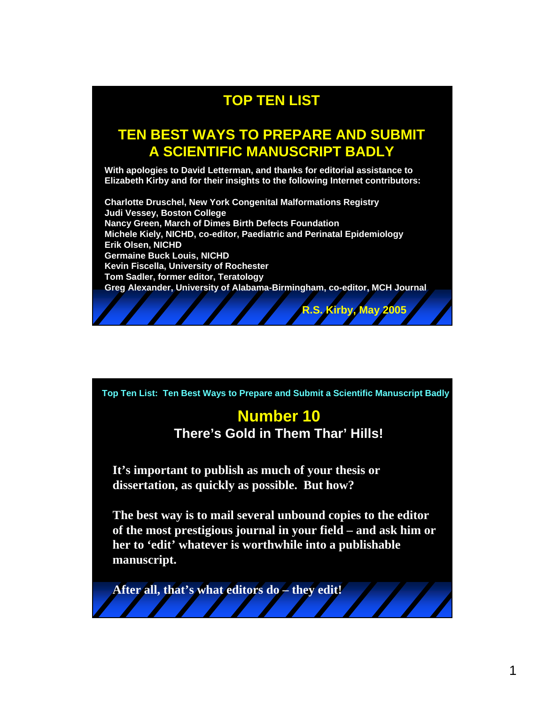# **TOP TEN LIST**

## **TEN BEST WAYS TO PREPARE AND SUBMIT A SCIENTIFIC MANUSCRIPT BADLY**

**With apologies to David Letterman, and thanks for editorial assistance to Elizabeth Kirby and for their insights to the following Internet contributors:** 

**Charlotte Druschel, New York Congenital Malformations Registry Judi Vessey, Boston College Nancy Green, March of Dimes Birth Defects Foundation Michele Kiely, NICHD, co-editor, Paediatric and Perinatal Epidemiology Erik Olsen, NICHD Germaine Buck Louis, NICHD Kevin Fiscella, University of Rochester Tom Sadler, former editor, Teratology Greg Alexander, University of Alabama-Birmingham, co-editor, MCH Journal**

**R.S. Kirby, May 2005**

**Top Ten List: Ten Best Ways to Prepare and Submit a Scientific Manuscript Badly**

#### **Number 10 There's Gold in Them Thar' Hills!**

**It's important to publish as much of your thesis or dissertation, as quickly as possible. But how?**

**The best way is to mail several unbound copies to the editor of the most prestigious journal in your field – and ask him or her to 'edit' whatever is worthwhile into a publishable manuscript.**

**After all, that's what editors do – they edit!**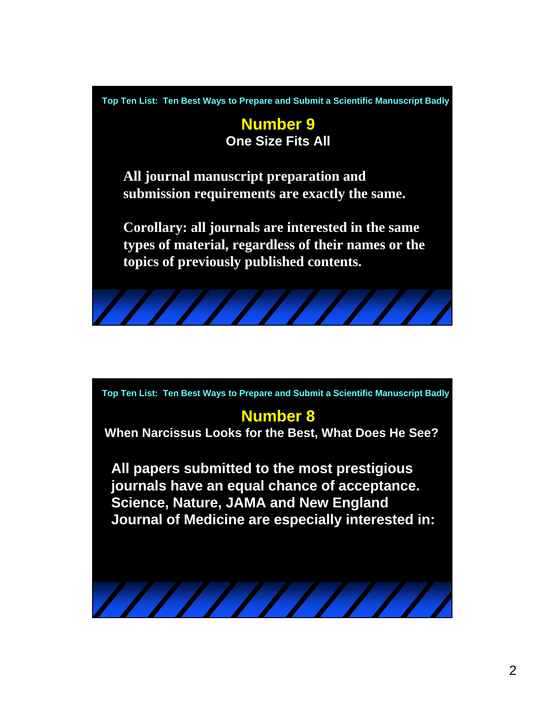**Top Ten List: Ten Best Ways to Prepare and Submit a Scientific Manuscript Badly**

**Number 9 One Size Fits All**

**All journal manuscript preparation and submission requirements are exactly the same.**

**Corollary: all journals are interested in the same types of material, regardless of their names or the topics of previously published contents.**



**Top Ten List: Ten Best Ways to Prepare and Submit a Scientific Manuscript Badly**

## **Number 8**

**When Narcissus Looks for the Best, What Does He See?**

**All papers submitted to the most prestigious journals have an equal chance of acceptance. Science, Nature, JAMA and New England Journal of Medicine are especially interested in:**

 $\frac{1}{1}$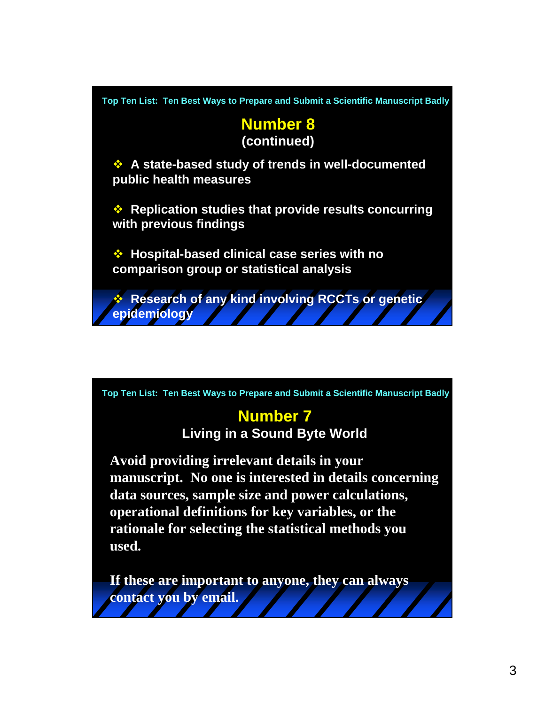

**Top Ten List: Ten Best Ways to Prepare and Submit a Scientific Manuscript Badly**

# **Number 7**

**Living in a Sound Byte World**

**Avoid providing irrelevant details in your manuscript. No one is interested in details concerning data sources, sample size and power calculations, operational definitions for key variables, or the rationale for selecting the statistical methods you used.**

**If these are important to anyone, they can always contact you by email.**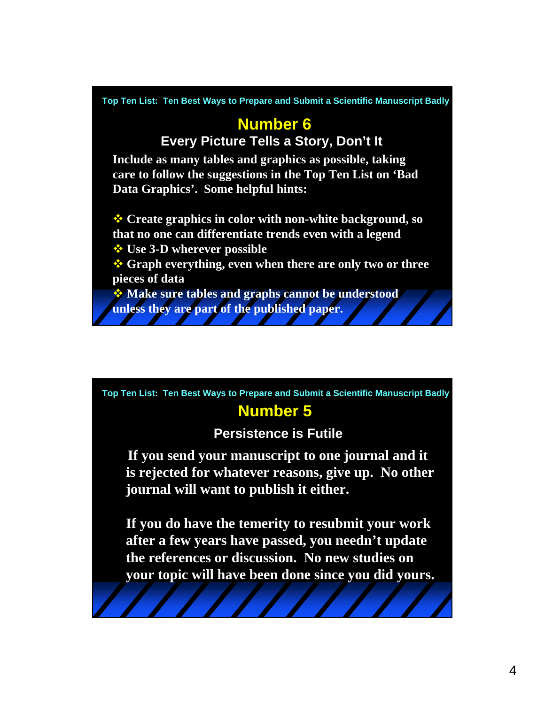**Include as many tables and graphics as possible, taking care to follow the suggestions in the Top Ten List on 'Bad Data Graphics'. Some helpful hints: Create graphics in color with non-white background, so that no one can differentiate trends even with a legend** *<b><del>❖</del>* Use 3-D wherever possible **Graph everything, even when there are only two or three pieces of data Make sure tables and graphs cannot be understood unless they are part of the published paper. Number 6 Every Picture Tells a Story, Don't It Top Ten List: Ten Best Ways to Prepare and Submit a Scientific Manuscript Badly**

**Top Ten List: Ten Best Ways to Prepare and Submit a Scientific Manuscript Badly**

# **Number 5**

#### **Persistence is Futile**

**If you send your manuscript to one journal and it is rejected for whatever reasons, give up. No other journal will want to publish it either.**

**If you do have the temerity to resubmit your work after a few years have passed, you needn't update the references or discussion. No new studies on your topic will have been done since you did yours.**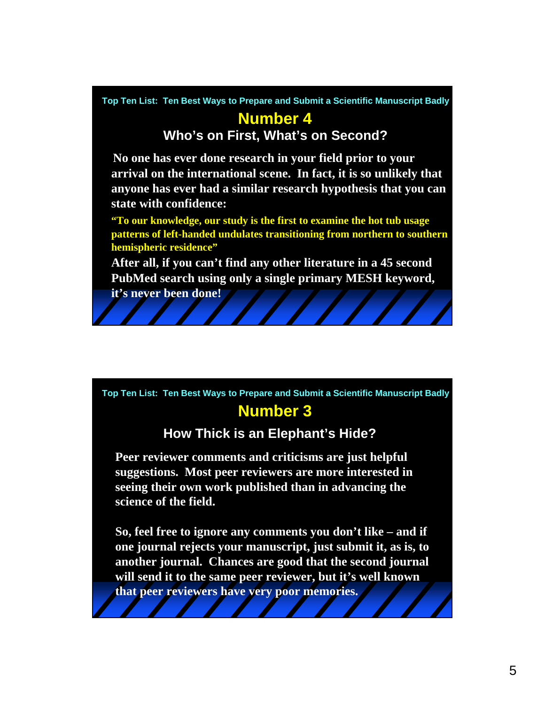**Top Ten List: Ten Best Ways to Prepare and Submit a Scientific Manuscript Badly**

### **Number 4**

**Who's on First, What's on Second?**

**No one has ever done research in your field prior to your arrival on the international scene. In fact, it is so unlikely that anyone has ever had a similar research hypothesis that you can state with confidence:**

**"To our knowledge, our study is the first to examine the hot tub usage patterns of left-handed undulates transitioning from northern to southern hemispheric residence"**

**After all, if you can't find any other literature in a 45 second PubMed search using only a single primary MESH keyword,** 

**it's never been done!**

#### **Number 3 Top Ten List: Ten Best Ways to Prepare and Submit a Scientific Manuscript Badly**

#### **How Thick is an Elephant's Hide?**

**Peer reviewer comments and criticisms are just helpful suggestions. Most peer reviewers are more interested in seeing their own work published than in advancing the science of the field.**

**So, feel free to ignore any comments you don't like – and if one journal rejects your manuscript, just submit it, as is, to another journal. Chances are good that the second journal will send it to the same peer reviewer, but it's well known that peer reviewers have very poor memories.**